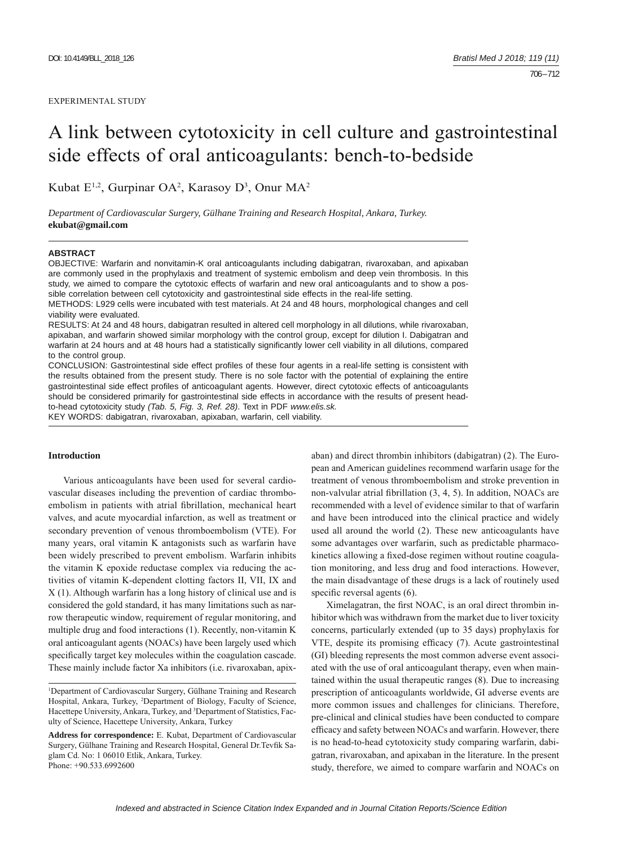#### EXPERIMENTAL STUDY

# A link between cytotoxicity in cell culture and gastrointestinal side effects of oral anticoagulants: bench-to-bedside

Kubat  $E^{1,2}$ , Gurpinar OA<sup>2</sup>, Karasoy D<sup>3</sup>, Onur MA<sup>2</sup>

*Department of Cardiovascular Surgery, Gülhane Training and Research Hospital, Ankara, Turkey.*  **ekubat@gmail.com**

#### **ABSTRACT**

OBJECTIVE: Warfarin and nonvitamin-K oral anticoagulants including dabigatran, rivaroxaban, and apixaban are commonly used in the prophylaxis and treatment of systemic embolism and deep vein thrombosis. In this study, we aimed to compare the cytotoxic effects of warfarin and new oral anticoagulants and to show a possible correlation between cell cytotoxicity and gastrointestinal side effects in the real-life setting.

METHODS: L929 cells were incubated with test materials. At 24 and 48 hours, morphological changes and cell viability were evaluated.

RESULTS: At 24 and 48 hours, dabigatran resulted in altered cell morphology in all dilutions, while rivaroxaban, apixaban, and warfarin showed similar morphology with the control group, except for dilution I. Dabigatran and warfarin at 24 hours and at 48 hours had a statistically significantly lower cell viability in all dilutions, compared to the control group.

CONCLUSION: Gastrointestinal side effect profiles of these four agents in a real-life setting is consistent with the results obtained from the present study. There is no sole factor with the potential of explaining the entire gastrointestinal side effect profiles of anticoagulant agents. However, direct cytotoxic effects of anticoagulants should be considered primarily for gastrointestinal side effects in accordance with the results of present headto-head cytotoxicity study *(Tab. 5, Fig. 3, Ref. 28)*. Text in PDF *www.elis.sk.*

KEY WORDS: dabigatran, rivaroxaban, apixaban, warfarin, cell viability.

# **Introduction**

Various anticoagulants have been used for several cardiovascular diseases including the prevention of cardiac thromboembolism in patients with atrial fibrillation, mechanical heart valves, and acute myocardial infarction, as well as treatment or secondary prevention of venous thromboembolism (VTE). For many years, oral vitamin K antagonists such as warfarin have been widely prescribed to prevent embolism. Warfarin inhibits the vitamin K epoxide reductase complex via reducing the activities of vitamin K-dependent clotting factors II, VII, IX and X (1). Although warfarin has a long history of clinical use and is considered the gold standard, it has many limitations such as narrow therapeutic window, requirement of regular monitoring, and multiple drug and food interactions (1). Recently, non-vitamin K oral anticoagulant agents (NOACs) have been largely used which specifically target key molecules within the coagulation cascade. These mainly include factor Xa inhibitors (i.e. rivaroxaban, apixaban) and direct thrombin inhibitors (dabigatran) (2). The European and American guidelines recommend warfarin usage for the treatment of venous thromboembolism and stroke prevention in non-valvular atrial fibrillation  $(3, 4, 5)$ . In addition, NOACs are recommended with a level of evidence similar to that of warfarin and have been introduced into the clinical practice and widely used all around the world (2). These new anticoagulants have some advantages over warfarin, such as predictable pharmacokinetics allowing a fixed-dose regimen without routine coagulation monitoring, and less drug and food interactions. However, the main disadvantage of these drugs is a lack of routinely used specific reversal agents (6).

Ximelagatran, the first NOAC, is an oral direct thrombin inhibitor which was withdrawn from the market due to liver toxicity concerns, particularly extended (up to 35 days) prophylaxis for VTE, despite its promising efficacy (7). Acute gastrointestinal (GI) bleeding represents the most common adverse event associated with the use of oral anticoagulant therapy, even when maintained within the usual therapeutic ranges (8). Due to increasing prescription of anticoagulants worldwide, GI adverse events are more common issues and challenges for clinicians. Therefore, pre-clinical and clinical studies have been conducted to compare efficacy and safety between NOACs and warfarin. However, there is no head-to-head cytotoxicity study comparing warfarin, dabigatran, rivaroxaban, and apixaban in the literature. In the present study, therefore, we aimed to compare warfarin and NOACs on

<sup>&</sup>lt;sup>1</sup>Department of Cardiovascular Surgery, Gülhane Training and Research Hospital, Ankara, Turkey, 2 Department of Biology, Faculty of Science, Hacettepe University, Ankara, Turkey, and <sup>3</sup>Department of Statistics, Faculty of Science, Hacettepe University, Ankara, Turkey

**Ad dress for correspondence:** E. Kubat, Department of Cardiovascular Surgery, Gülhane Training and Research Hospital, General Dr.Tevfik Saglam Cd. No: 1 06010 Etlik, Ankara, Turkey. Phone: +90.533.6992600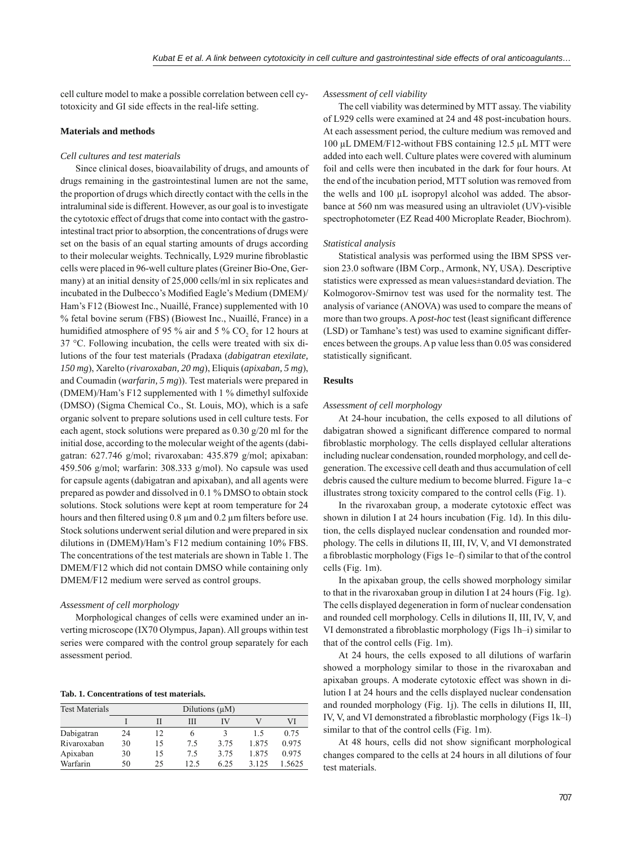cell culture model to make a possible correlation between cell cytotoxicity and GI side effects in the real-life setting.

# **Materials and methods**

## *Cell cultures and test materials*

Since clinical doses, bioavailability of drugs, and amounts of drugs remaining in the gastrointestinal lumen are not the same, the proportion of drugs which directly contact with the cells in the intraluminal side is different. However, as our goal is to investigate the cytotoxic effect of drugs that come into contact with the gastrointestinal tract prior to absorption, the concentrations of drugs were set on the basis of an equal starting amounts of drugs according to their molecular weights. Technically, L929 murine fibroblastic cells were placed in 96-well culture plates (Greiner Bio-One, Germany) at an initial density of 25,000 cells/ml in six replicates and incubated in the Dulbecco's Modified Eagle's Medium (DMEM)/ Ham's F12 (Biowest Inc., Nuaillé, France) supplemented with 10 % fetal bovine serum (FBS) (Biowest Inc., Nuaillé, France) in a humidified atmosphere of 95 % air and 5 %  $CO_2$  for 12 hours at 37 °C. Following incubation, the cells were treated with six dilutions of the four test materials (Pradaxa (*dabigatran etexilate, 150 mg*), Xarelto (*rivaroxaban, 20 mg*), Eliquis (*apixaban, 5 mg*), and Coumadin (*warfarin, 5 mg*)). Test materials were prepared in (DMEM)/Ham's F12 supplemented with 1 % dimethyl sulfoxide (DMSO) (Sigma Chemical Co., St. Louis, MO), which is a safe organic solvent to prepare solutions used in cell culture tests. For each agent, stock solutions were prepared as 0.30 g/20 ml for the initial dose, according to the molecular weight of the agents (dabigatran: 627.746 g/mol; rivaroxaban: 435.879 g/mol; apixaban: 459.506 g/mol; warfarin: 308.333 g/mol). No capsule was used for capsule agents (dabigatran and apixaban), and all agents were prepared as powder and dissolved in 0.1 % DMSO to obtain stock solutions. Stock solutions were kept at room temperature for 24 hours and then filtered using  $0.8 \mu m$  and  $0.2 \mu m$  filters before use. Stock solutions underwent serial dilution and were prepared in six dilutions in (DMEM)/Ham's F12 medium containing 10% FBS. The concentrations of the test materials are shown in Table 1. The DMEM/F12 which did not contain DMSO while containing only DMEM/F12 medium were served as control groups.

## *Assessment of cell morphology*

Morphological changes of cells were examined under an inverting microscope (IX70 Olympus, Japan). All groups within test series were compared with the control group separately for each assessment period.

## Tab. 1. Concentrations of test materials.

| <b>Test Materials</b> |    |    |      |      |         |        |
|-----------------------|----|----|------|------|---------|--------|
|                       |    | Н  | Ш    | IV   |         | VI     |
| Dabigatran            | 24 | 12 | O    | 3    | 15      | 0.75   |
| Rivaroxaban           | 30 | 15 | 75   | 3.75 | 1.875   | 0.975  |
| Apixaban              | 30 | 15 | 75   | 3.75 | 1.875   | 0.975  |
| Warfarin              | 50 | 25 | 12.5 | 6.25 | 3 1 2 5 | 1 5625 |

## *Assessment of cell viability*

The cell viability was determined by MTT assay. The viability of L929 cells were examined at 24 and 48 post-incubation hours. At each assessment period, the culture medium was removed and 100 μL DMEM/F12-without FBS containing 12.5 μL MTT were added into each well. Culture plates were covered with aluminum foil and cells were then incubated in the dark for four hours. At the end of the incubation period, MTT solution was removed from the wells and 100 μL isopropyl alcohol was added. The absorbance at 560 nm was measured using an ultraviolet (UV)-visible spectrophotometer (EZ Read 400 Microplate Reader, Biochrom).

#### *Statistical analysis*

Statistical analysis was performed using the IBM SPSS version 23.0 software (IBM Corp., Armonk, NY, USA). Descriptive statistics were expressed as mean values±standard deviation. The Kolmogorov-Smirnov test was used for the normality test. The analysis of variance (ANOVA) was used to compare the means of more than two groups. A *post-hoc* test (least significant difference (LSD) or Tamhane's test) was used to examine significant differences between the groups. A p value less than 0.05 was considered statistically significant.

## **Results**

#### *Assessment of cell morphology*

At 24-hour incubation, the cells exposed to all dilutions of dabigatran showed a significant difference compared to normal fibroblastic morphology. The cells displayed cellular alterations including nuclear condensation, rounded morphology, and cell degeneration. The excessive cell death and thus accumulation of cell debris caused the culture medium to become blurred. Figure 1a–c illustrates strong toxicity compared to the control cells (Fig. 1).

In the rivaroxaban group, a moderate cytotoxic effect was shown in dilution I at 24 hours incubation (Fig. 1d). In this dilution, the cells displayed nuclear condensation and rounded morphology. The cells in dilutions II, III, IV, V, and VI demonstrated a fi broblastic morphology (Figs 1e–f) similar to that of the control cells (Fig. 1m).

In the apixaban group, the cells showed morphology similar to that in the rivaroxaban group in dilution I at 24 hours (Fig. 1g). The cells displayed degeneration in form of nuclear condensation and rounded cell morphology. Cells in dilutions II, III, IV, V, and VI demonstrated a fibroblastic morphology (Figs 1h-i) similar to that of the control cells (Fig. 1m).

At 24 hours, the cells exposed to all dilutions of warfarin showed a morphology similar to those in the rivaroxaban and apixaban groups. A moderate cytotoxic effect was shown in dilution I at 24 hours and the cells displayed nuclear condensation and rounded morphology (Fig. 1j). The cells in dilutions II, III, IV, V, and VI demonstrated a fibroblastic morphology (Figs 1k–l) similar to that of the control cells (Fig. 1m).

At 48 hours, cells did not show significant morphological changes compared to the cells at 24 hours in all dilutions of four test materials.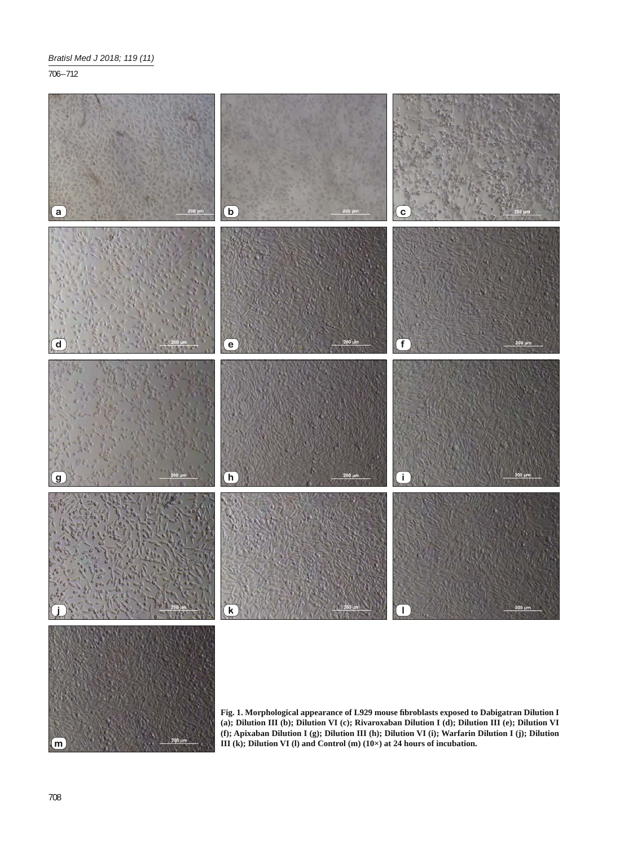706 – 712

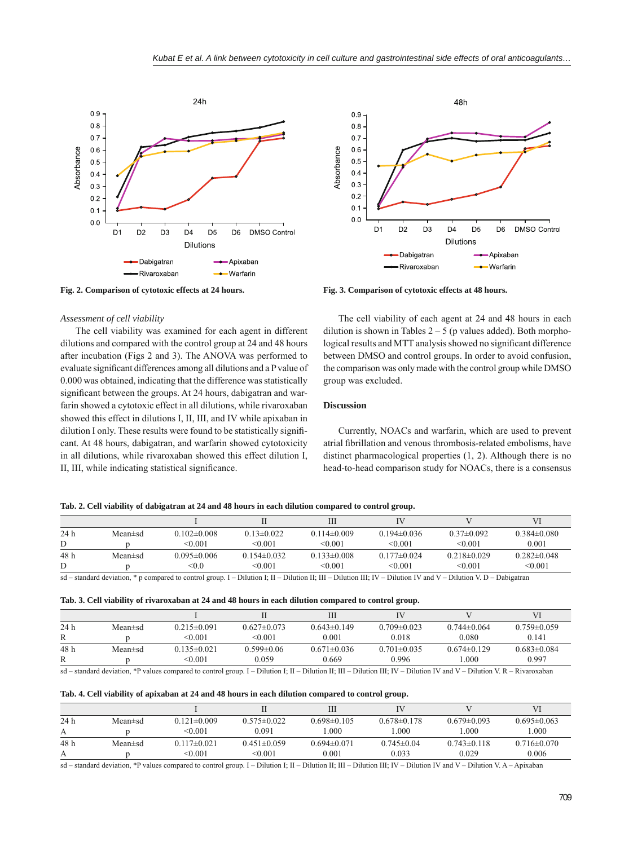

## *Assessment of cell viability*

The cell viability was examined for each agent in different dilutions and compared with the control group at 24 and 48 hours after incubation (Figs 2 and 3). The ANOVA was performed to evaluate significant differences among all dilutions and a P value of 0.000 was obtained, indicating that the difference was statistically significant between the groups. At 24 hours, dabigatran and warfarin showed a cytotoxic effect in all dilutions, while rivaroxaban showed this effect in dilutions I, II, III, and IV while apixaban in dilution I only. These results were found to be statistically significant. At 48 hours, dabigatran, and warfarin showed cytotoxicity in all dilutions, while rivaroxaban showed this effect dilution I, II, III, while indicating statistical significance.



**Fig. 2. Comparison of cytotoxic effects at 24 hours. Fig. 3. Comparison of cytotoxic effects at 48 hours.**

The cell viability of each agent at 24 and 48 hours in each dilution is shown in Tables  $2 - 5$  (p values added). Both morphological results and MTT analysis showed no significant difference between DMSO and control groups. In order to avoid confusion, the comparison was only made with the control group while DMSO group was excluded.

## **Discussion**

Currently, NOACs and warfarin, which are used to prevent atrial fibrillation and venous thrombosis-related embolisms, have distinct pharmacological properties (1, 2). Although there is no head-to-head comparison study for NOACs, there is a consensus

|  |  | Tab. 2. Cell viability of dabigatran at 24 and 48 hours in each dilution compared to control group. |  |  |  |  |  |  |  |
|--|--|-----------------------------------------------------------------------------------------------------|--|--|--|--|--|--|--|
|  |  |                                                                                                     |  |  |  |  |  |  |  |

| 24 h                                                                                                                                                                | $Mean \pm sd$ | $0.102 \pm 0.008$ | $0.13 \pm 0.022$ | $0.114 \pm 0.009$ | $0.194 \pm 0.036$ | $0.37\pm0.092$    | $0.384\pm0.080$ |  |
|---------------------------------------------------------------------------------------------------------------------------------------------------------------------|---------------|-------------------|------------------|-------------------|-------------------|-------------------|-----------------|--|
| D                                                                                                                                                                   |               | $\leq 0.001$      | $\leq 0.001$     | < 0.001           | $\leq 0.001$      | < 0.001           | 0.001           |  |
| 48 h                                                                                                                                                                | $Mean \pm sd$ | $0.095 \pm 0.006$ | $0.154\pm0.032$  | $0.133 \pm 0.008$ | $0.177\pm 0.024$  | $0.218 \pm 0.029$ | $0.282\pm0.048$ |  |
| D                                                                                                                                                                   |               | < 0.0             | $\leq 0.001$     | < 0.001           | < 0.001           | < 0.001           | < 0.001         |  |
| $sd$ – standard deviation, * p compared to control group. I – Dilution I; II – Dilution II; III – Dilution III; IV – Dilution IV and V – Dilution V. D – Dabigatran |               |                   |                  |                   |                   |                   |                 |  |

|  | Tab. 3. Cell viability of rivaroxaban at 24 and 48 hours in each dilution compared to control group. |  |
|--|------------------------------------------------------------------------------------------------------|--|

|      |               |                   |                   |                   |                   |                  | VI                |
|------|---------------|-------------------|-------------------|-------------------|-------------------|------------------|-------------------|
| 24 h | $Mean \pm sd$ | $0.215 \pm 0.091$ | $0.627 \pm 0.073$ | $0.643\pm0.149$   | $0.709 \pm 0.023$ | $0.744\pm 0.064$ | $0.759 \pm 0.059$ |
| R    |               | < 0.001           | $\leq 0.001$      | 0.001             | 0.018             | 0.080            | 0.141             |
| 48 h | $Mean \pm sd$ | $0.135 \pm 0.021$ | $0.599 \pm 0.06$  | $0.671 \pm 0.036$ | $0.701 \pm 0.035$ | $0.674\pm0.129$  | $0.683\pm0.084$   |
| R    |               | < 0.001           | 0.059             | 0.669             | 0.996             | .000             | 0.997             |

sd – standard deviation, \*P values compared to control group. I – Dilution I; II – Dilution II; III – Dilution III; IV – Dilution IV and V – Dilution V. R – Rivaroxaban

# **Tab. 4. Cell viability of apixaban at 24 and 48 hours in each dilution compared to control group.**

| 24 h | $Mean \pm sd$ | $0.121 \pm 0.009$ | $0.575 \pm 0.022$ | $0.698\pm0.105$ | $0.678\pm0.178$  | $0.679\pm0.093$  | $0.695\pm0.063$   |
|------|---------------|-------------------|-------------------|-----------------|------------------|------------------|-------------------|
| А    |               | < 0.001           | 0.091             | .000            | .000             | .000             | .000              |
| 48 h | $Mean \pm sd$ | $0.117\pm0.021$   | $0.451 \pm 0.059$ | $0.694\pm0.071$ | $0.745 \pm 0.04$ | $0.743\pm 0.118$ | $0.716 \pm 0.070$ |
| А    |               | < 0.001           | < 0.001           | 0.001           | 0.033            | 0.029            | 0.006             |

sd – standard deviation, \*P values compared to control group. I – Dilution I; II – Dilution II; III – Dilution III; IV – Dilution IV and V – Dilution V. A – Apixaban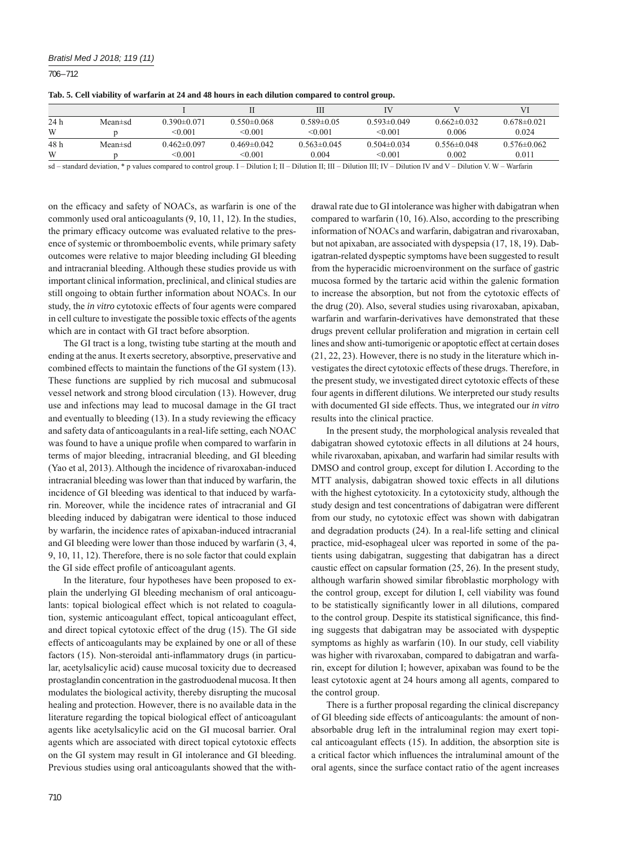706 – 712

|  |  | Tab. 5. Cell viability of warfarin at 24 and 48 hours in each dilution compared to control group. |  |
|--|--|---------------------------------------------------------------------------------------------------|--|
|  |  |                                                                                                   |  |

|      |               |                   |                   | Ш                 |                   |                   | VI                |
|------|---------------|-------------------|-------------------|-------------------|-------------------|-------------------|-------------------|
| 24 h | $Mean \pm sd$ | $0.390\pm0.071$   | $0.550\pm0.068$   | $0.589 \pm 0.05$  | $0.593\pm0.049$   | $0.662\pm0.032$   | $0.678\pm0.021$   |
| W    |               | < 0.001           | < 0.001           | < 0.001           | < 0.001           | 0.006             | 0.024             |
| 48 h | $Mean \pm sd$ | $0.462 \pm 0.097$ | $0.469 \pm 0.042$ | $0.563 \pm 0.045$ | $0.504 \pm 0.034$ | $0.556 \pm 0.048$ | $0.576 \pm 0.062$ |
| W    |               | < 0.001           | < 0.001           | 0.004             | < 0.001           | 0.002             | 0.011             |

sd – standard deviation, \* p values compared to control group. I – Dilution I; II – Dilution II; III – Dilution III; IV – Dilution IV and V – Dilution V. W – Warfarin

on the efficacy and safety of NOACs, as warfarin is one of the commonly used oral anticoagulants (9, 10, 11, 12). In the studies, the primary efficacy outcome was evaluated relative to the presence of systemic or thromboembolic events, while primary safety outcomes were relative to major bleeding including GI bleeding and intracranial bleeding. Although these studies provide us with important clinical information, preclinical, and clinical studies are still ongoing to obtain further information about NOACs. In our study, the *in vitro* cytotoxic effects of four agents were compared in cell culture to investigate the possible toxic effects of the agents which are in contact with GI tract before absorption.

The GI tract is a long, twisting tube starting at the mouth and ending at the anus. It exerts secretory, absorptive, preservative and combined effects to maintain the functions of the GI system (13). These functions are supplied by rich mucosal and submucosal vessel network and strong blood circulation (13). However, drug use and infections may lead to mucosal damage in the GI tract and eventually to bleeding  $(13)$ . In a study reviewing the efficacy and safety data of anticoagulants in a real-life setting, each NOAC was found to have a unique profile when compared to warfarin in terms of major bleeding, intracranial bleeding, and GI bleeding (Yao et al, 2013). Although the incidence of rivaroxaban-induced intracranial bleeding was lower than that induced by warfarin, the incidence of GI bleeding was identical to that induced by warfarin. Moreover, while the incidence rates of intracranial and GI bleeding induced by dabigatran were identical to those induced by warfarin, the incidence rates of apixaban-induced intracranial and GI bleeding were lower than those induced by warfarin (3, 4, 9, 10, 11, 12). Therefore, there is no sole factor that could explain the GI side effect profile of anticoagulant agents.

In the literature, four hypotheses have been proposed to explain the underlying GI bleeding mechanism of oral anticoagulants: topical biological effect which is not related to coagulation, systemic anticoagulant effect, topical anticoagulant effect, and direct topical cytotoxic effect of the drug (15). The GI side effects of anticoagulants may be explained by one or all of these factors (15). Non-steroidal anti-inflammatory drugs (in particular, acetylsalicylic acid) cause mucosal toxicity due to decreased prostaglandin concentration in the gastroduodenal mucosa. It then modulates the biological activity, thereby disrupting the mucosal healing and protection. However, there is no available data in the literature regarding the topical biological effect of anticoagulant agents like acetylsalicylic acid on the GI mucosal barrier. Oral agents which are associated with direct topical cytotoxic effects on the GI system may result in GI intolerance and GI bleeding. Previous studies using oral anticoagulants showed that the withdrawal rate due to GI intolerance was higher with dabigatran when compared to warfarin (10, 16).Also, according to the prescribing information of NOACs and warfarin, dabigatran and rivaroxaban, but not apixaban, are associated with dyspepsia (17, 18, 19). Dabigatran-related dyspeptic symptoms have been suggested to result from the hyperacidic microenvironment on the surface of gastric mucosa formed by the tartaric acid within the galenic formation to increase the absorption, but not from the cytotoxic effects of the drug (20). Also, several studies using rivaroxaban, apixaban, warfarin and warfarin-derivatives have demonstrated that these drugs prevent cellular proliferation and migration in certain cell lines and show anti-tumorigenic or apoptotic effect at certain doses (21, 22, 23). However, there is no study in the literature which investigates the direct cytotoxic effects of these drugs. Therefore, in the present study, we investigated direct cytotoxic effects of these four agents in different dilutions. We interpreted our study results with documented GI side effects. Thus, we integrated our *in vitro* results into the clinical practice.

In the present study, the morphological analysis revealed that dabigatran showed cytotoxic effects in all dilutions at 24 hours, while rivaroxaban, apixaban, and warfarin had similar results with DMSO and control group, except for dilution I. According to the MTT analysis, dabigatran showed toxic effects in all dilutions with the highest cytotoxicity. In a cytotoxicity study, although the study design and test concentrations of dabigatran were different from our study, no cytotoxic effect was shown with dabigatran and degradation products (24). In a real-life setting and clinical practice, mid-esophageal ulcer was reported in some of the patients using dabigatran, suggesting that dabigatran has a direct caustic effect on capsular formation (25, 26). In the present study, although warfarin showed similar fibroblastic morphology with the control group, except for dilution I, cell viability was found to be statistically significantly lower in all dilutions, compared to the control group. Despite its statistical significance, this finding suggests that dabigatran may be associated with dyspeptic symptoms as highly as warfarin (10). In our study, cell viability was higher with rivaroxaban, compared to dabigatran and warfarin, except for dilution I; however, apixaban was found to be the least cytotoxic agent at 24 hours among all agents, compared to the control group.

There is a further proposal regarding the clinical discrepancy of GI bleeding side effects of anticoagulants: the amount of nonabsorbable drug left in the intraluminal region may exert topical anticoagulant effects (15). In addition, the absorption site is a critical factor which influences the intraluminal amount of the oral agents, since the surface contact ratio of the agent increases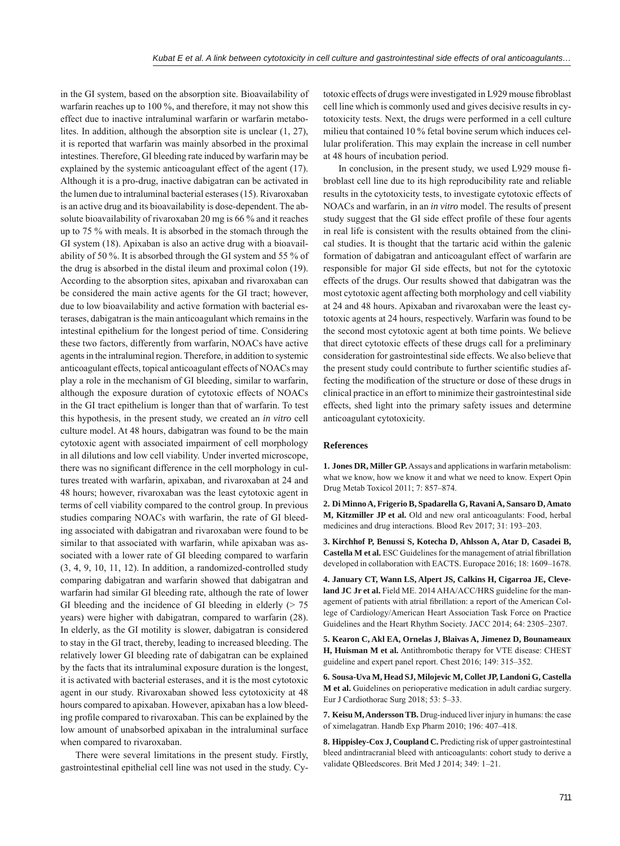in the GI system, based on the absorption site. Bioavailability of warfarin reaches up to 100 %, and therefore, it may not show this effect due to inactive intraluminal warfarin or warfarin metabolites. In addition, although the absorption site is unclear (1, 27), it is reported that warfarin was mainly absorbed in the proximal intestines. Therefore, GI bleeding rate induced by warfarin may be explained by the systemic anticoagulant effect of the agent (17). Although it is a pro-drug, inactive dabigatran can be activated in the lumen due to intraluminal bacterial esterases (15). Rivaroxaban is an active drug and its bioavailability is dose-dependent. The absolute bioavailability of rivaroxaban 20 mg is 66 % and it reaches up to 75 % with meals. It is absorbed in the stomach through the GI system (18). Apixaban is also an active drug with a bioavailability of 50 %. It is absorbed through the GI system and 55 % of the drug is absorbed in the distal ileum and proximal colon (19). According to the absorption sites, apixaban and rivaroxaban can be considered the main active agents for the GI tract; however, due to low bioavailability and active formation with bacterial esterases, dabigatran is the main anticoagulant which remains in the intestinal epithelium for the longest period of time. Considering these two factors, differently from warfarin, NOACs have active agents in the intraluminal region. Therefore, in addition to systemic anticoagulant effects, topical anticoagulant effects of NOACs may play a role in the mechanism of GI bleeding, similar to warfarin, although the exposure duration of cytotoxic effects of NOACs in the GI tract epithelium is longer than that of warfarin. To test this hypothesis, in the present study, we created an *in vitro* cell culture model. At 48 hours, dabigatran was found to be the main cytotoxic agent with associated impairment of cell morphology in all dilutions and low cell viability. Under inverted microscope, there was no significant difference in the cell morphology in cultures treated with warfarin, apixaban, and rivaroxaban at 24 and 48 hours; however, rivaroxaban was the least cytotoxic agent in terms of cell viability compared to the control group. In previous studies comparing NOACs with warfarin, the rate of GI bleeding associated with dabigatran and rivaroxaban were found to be similar to that associated with warfarin, while apixaban was associated with a lower rate of GI bleeding compared to warfarin (3, 4, 9, 10, 11, 12). In addition, a randomized-controlled study comparing dabigatran and warfarin showed that dabigatran and warfarin had similar GI bleeding rate, although the rate of lower GI bleeding and the incidence of GI bleeding in elderly  $($  > 75 years) were higher with dabigatran, compared to warfarin (28). In elderly, as the GI motility is slower, dabigatran is considered to stay in the GI tract, thereby, leading to increased bleeding. The relatively lower GI bleeding rate of dabigatran can be explained by the facts that its intraluminal exposure duration is the longest, it is activated with bacterial esterases, and it is the most cytotoxic agent in our study. Rivaroxaban showed less cytotoxicity at 48 hours compared to apixaban. However, apixaban has a low bleeding profile compared to rivaroxaban. This can be explained by the low amount of unabsorbed apixaban in the intraluminal surface when compared to rivaroxaban.

There were several limitations in the present study. Firstly, gastrointestinal epithelial cell line was not used in the study. Cy-

totoxic effects of drugs were investigated in L929 mouse fibroblast cell line which is commonly used and gives decisive results in cytotoxicity tests. Next, the drugs were performed in a cell culture milieu that contained 10 % fetal bovine serum which induces cellular proliferation. This may explain the increase in cell number at 48 hours of incubation period.

In conclusion, in the present study, we used L929 mouse fibroblast cell line due to its high reproducibility rate and reliable results in the cytotoxicity tests, to investigate cytotoxic effects of NOACs and warfarin, in an *in vitro* model. The results of present study suggest that the GI side effect profile of these four agents in real life is consistent with the results obtained from the clinical studies. It is thought that the tartaric acid within the galenic formation of dabigatran and anticoagulant effect of warfarin are responsible for major GI side effects, but not for the cytotoxic effects of the drugs. Our results showed that dabigatran was the most cytotoxic agent affecting both morphology and cell viability at 24 and 48 hours. Apixaban and rivaroxaban were the least cytotoxic agents at 24 hours, respectively. Warfarin was found to be the second most cytotoxic agent at both time points. We believe that direct cytotoxic effects of these drugs call for a preliminary consideration for gastrointestinal side effects. We also believe that the present study could contribute to further scientific studies affecting the modification of the structure or dose of these drugs in clinical practice in an effort to minimize their gastrointestinal side effects, shed light into the primary safety issues and determine anticoagulant cytotoxicity.

## **References**

**1. Jones DR, Miller GP.** Assays and applications in warfarin metabolism: what we know, how we know it and what we need to know. Expert Opin Drug Metab Toxicol 2011; 7: 857–874.

**2. Di Minno A, Frigerio B, Spadarella G, Ravani A, Sansaro D, Amato M, Kitzmiller JP et al.** Old and new oral anticoagulants: Food, herbal medicines and drug interactions. Blood Rev 2017; 31: 193–203.

**3. Kirchhof P, Benussi S, Kotecha D, Ahlsson A, Atar D, Casadei B, Castella M et al.** ESC Guidelines for the management of atrial fibrillation developed in collaboration with EACTS. Europace 2016; 18: 1609–1678.

4. January CT, Wann LS, Alpert JS, Calkins H, Cigarroa JE, Cleve**land JC Jr et al.** Field ME. 2014 AHA/ACC/HRS guideline for the management of patients with atrial fibrillation: a report of the American College of Cardiology/American Heart Association Task Force on Practice Guidelines and the Heart Rhythm Society. JACC 2014; 64: 2305–2307.

**5. Kearon C, Akl EA, Ornelas J, Blaivas A, Jimenez D, Bounameaux H, Huisman M et al.** Antithrombotic therapy for VTE disease: CHEST guideline and expert panel report. Chest 2016; 149: 315–352.

**6. Sousa-Uva M, Head SJ, Milojevic M, Collet JP, Landoni G, Castella M et al.** Guidelines on perioperative medication in adult cardiac surgery. Eur J Cardiothorac Surg 2018; 53: 5–33.

**7. Keisu M, Andersson TB.** Drug-induced liver injury in humans: the case of ximelagatran. Handb Exp Pharm 2010; 196: 407–418.

**8. Hippisley-Cox J, Coupland C.** Predicting risk of upper gastrointestinal bleed andintracranial bleed with anticoagulants: cohort study to derive a validate QBleedscores. Brit Med J 2014; 349: 1–21.